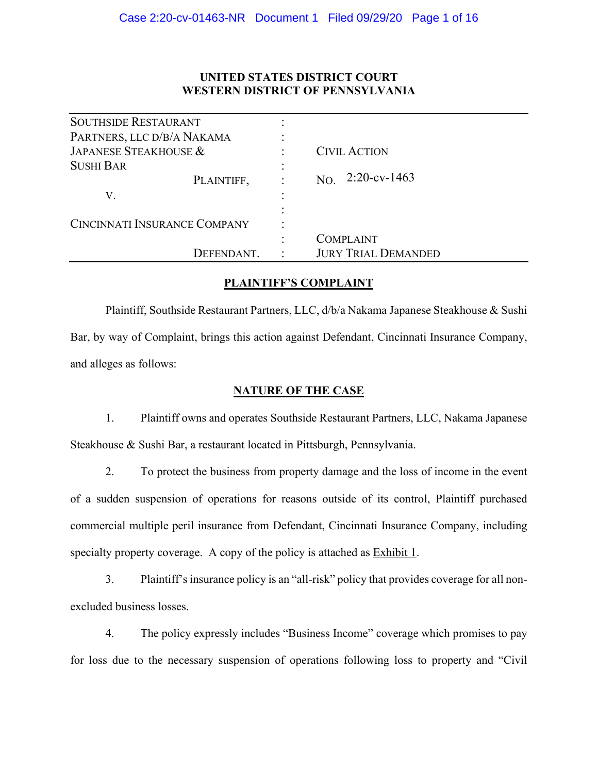## **UNITED STATES DISTRICT COURT WESTERN DISTRICT OF PENNSYLVANIA**

| <b>SOUTHSIDE RESTAURANT</b>         |  |                            |
|-------------------------------------|--|----------------------------|
| PARTNERS, LLC D/B/A NAKAMA          |  |                            |
| JAPANESE STEAKHOUSE &               |  | <b>CIVIL ACTION</b>        |
| <b>SUSHI BAR</b>                    |  |                            |
| PLAINTIFF,                          |  | $2:20$ -cv-1463<br>NO.     |
| V.                                  |  |                            |
|                                     |  |                            |
| <b>CINCINNATI INSURANCE COMPANY</b> |  |                            |
|                                     |  | <b>COMPLAINT</b>           |
| DEFENDANT.                          |  | <b>JURY TRIAL DEMANDED</b> |

## **PLAINTIFF'S COMPLAINT**

Plaintiff, Southside Restaurant Partners, LLC, d/b/a Nakama Japanese Steakhouse & Sushi Bar, by way of Complaint, brings this action against Defendant, Cincinnati Insurance Company, and alleges as follows:

## **NATURE OF THE CASE**

1. Plaintiff owns and operates Southside Restaurant Partners, LLC, Nakama Japanese Steakhouse & Sushi Bar, a restaurant located in Pittsburgh, Pennsylvania.

2. To protect the business from property damage and the loss of income in the event of a sudden suspension of operations for reasons outside of its control, Plaintiff purchased commercial multiple peril insurance from Defendant, Cincinnati Insurance Company, including specialty property coverage. A copy of the policy is attached as **Exhibit 1.** 

3. Plaintiff's insurance policy is an "all-risk" policy that provides coverage for all nonexcluded business losses.

4. The policy expressly includes "Business Income" coverage which promises to pay for loss due to the necessary suspension of operations following loss to property and "Civil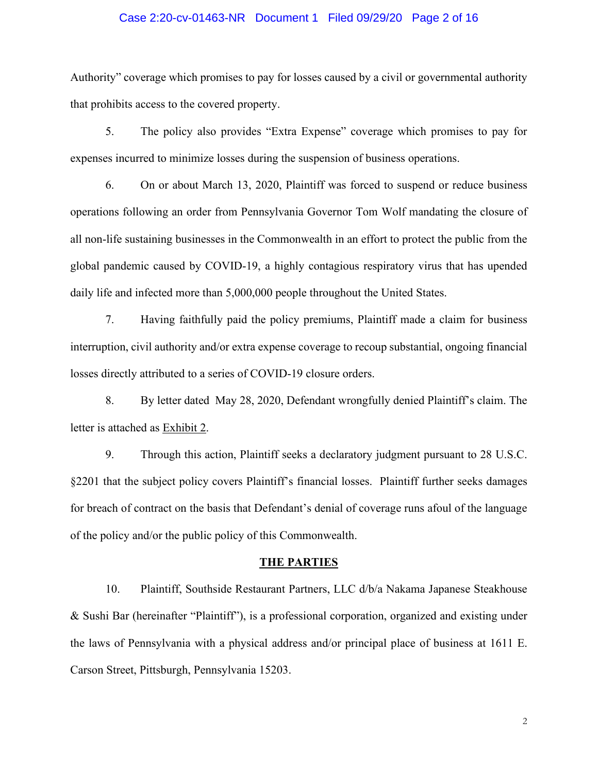### Case 2:20-cv-01463-NR Document 1 Filed 09/29/20 Page 2 of 16

Authority" coverage which promises to pay for losses caused by a civil or governmental authority that prohibits access to the covered property.

5. The policy also provides "Extra Expense" coverage which promises to pay for expenses incurred to minimize losses during the suspension of business operations.

6. On or about March 13, 2020, Plaintiff was forced to suspend or reduce business operations following an order from Pennsylvania Governor Tom Wolf mandating the closure of all non-life sustaining businesses in the Commonwealth in an effort to protect the public from the global pandemic caused by COVID-19, a highly contagious respiratory virus that has upended daily life and infected more than 5,000,000 people throughout the United States.

7. Having faithfully paid the policy premiums, Plaintiff made a claim for business interruption, civil authority and/or extra expense coverage to recoup substantial, ongoing financial losses directly attributed to a series of COVID-19 closure orders.

8. By letter dated May 28, 2020, Defendant wrongfully denied Plaintiff's claim. The letter is attached as Exhibit 2.

9. Through this action, Plaintiff seeks a declaratory judgment pursuant to 28 U.S.C. §2201 that the subject policy covers Plaintiff's financial losses. Plaintiff further seeks damages for breach of contract on the basis that Defendant's denial of coverage runs afoul of the language of the policy and/or the public policy of this Commonwealth.

#### **THE PARTIES**

10. Plaintiff, Southside Restaurant Partners, LLC d/b/a Nakama Japanese Steakhouse & Sushi Bar (hereinafter "Plaintiff"), is a professional corporation, organized and existing under the laws of Pennsylvania with a physical address and/or principal place of business at 1611 E. Carson Street, Pittsburgh, Pennsylvania 15203.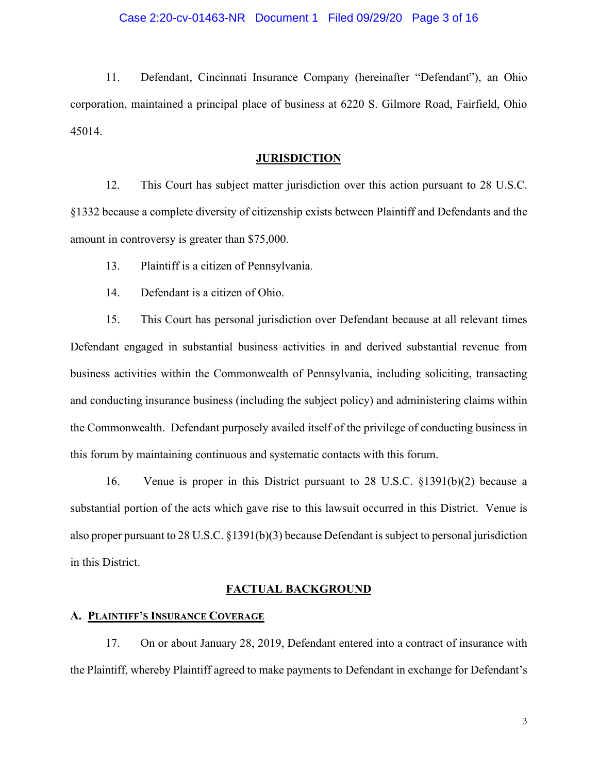11. Defendant, Cincinnati Insurance Company (hereinafter "Defendant"), an Ohio corporation, maintained a principal place of business at 6220 S. Gilmore Road, Fairfield, Ohio 45014.

## **JURISDICTION**

12. This Court has subject matter jurisdiction over this action pursuant to 28 U.S.C. §1332 because a complete diversity of citizenship exists between Plaintiff and Defendants and the amount in controversy is greater than \$75,000.

13. Plaintiff is a citizen of Pennsylvania.

14. Defendant is a citizen of Ohio.

15. This Court has personal jurisdiction over Defendant because at all relevant times Defendant engaged in substantial business activities in and derived substantial revenue from business activities within the Commonwealth of Pennsylvania, including soliciting, transacting and conducting insurance business (including the subject policy) and administering claims within the Commonwealth. Defendant purposely availed itself of the privilege of conducting business in this forum by maintaining continuous and systematic contacts with this forum.

16. Venue is proper in this District pursuant to 28 U.S.C. §1391(b)(2) because a substantial portion of the acts which gave rise to this lawsuit occurred in this District. Venue is also proper pursuant to 28 U.S.C. §1391(b)(3) because Defendant is subject to personal jurisdiction in this District.

#### **FACTUAL BACKGROUND**

## **A. PLAINTIFF'S INSURANCE COVERAGE**

17. On or about January 28, 2019, Defendant entered into a contract of insurance with the Plaintiff, whereby Plaintiff agreed to make payments to Defendant in exchange for Defendant's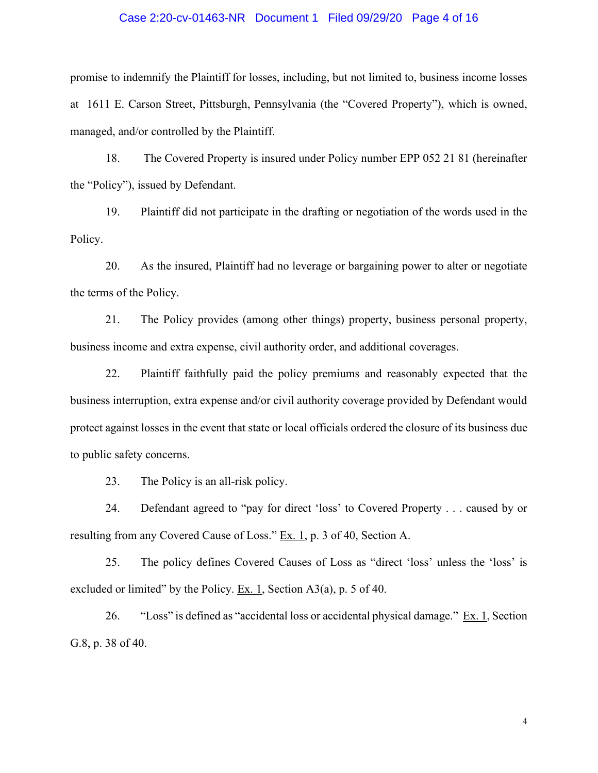#### Case 2:20-cv-01463-NR Document 1 Filed 09/29/20 Page 4 of 16

promise to indemnify the Plaintiff for losses, including, but not limited to, business income losses at 1611 E. Carson Street, Pittsburgh, Pennsylvania (the "Covered Property"), which is owned, managed, and/or controlled by the Plaintiff.

18. The Covered Property is insured under Policy number EPP 052 21 81 (hereinafter the "Policy"), issued by Defendant.

19. Plaintiff did not participate in the drafting or negotiation of the words used in the Policy.

20. As the insured, Plaintiff had no leverage or bargaining power to alter or negotiate the terms of the Policy.

21. The Policy provides (among other things) property, business personal property, business income and extra expense, civil authority order, and additional coverages.

22. Plaintiff faithfully paid the policy premiums and reasonably expected that the business interruption, extra expense and/or civil authority coverage provided by Defendant would protect against losses in the event that state or local officials ordered the closure of its business due to public safety concerns.

23. The Policy is an all-risk policy.

24. Defendant agreed to "pay for direct 'loss' to Covered Property . . . caused by or resulting from any Covered Cause of Loss." Ex. 1, p. 3 of 40, Section A.

25. The policy defines Covered Causes of Loss as "direct 'loss' unless the 'loss' is excluded or limited" by the Policy. Ex. 1, Section  $A3(a)$ , p. 5 of 40.

26. "Loss" is defined as "accidental loss or accidental physical damage."  $Ex. 1$ , Section G.8, p. 38 of 40.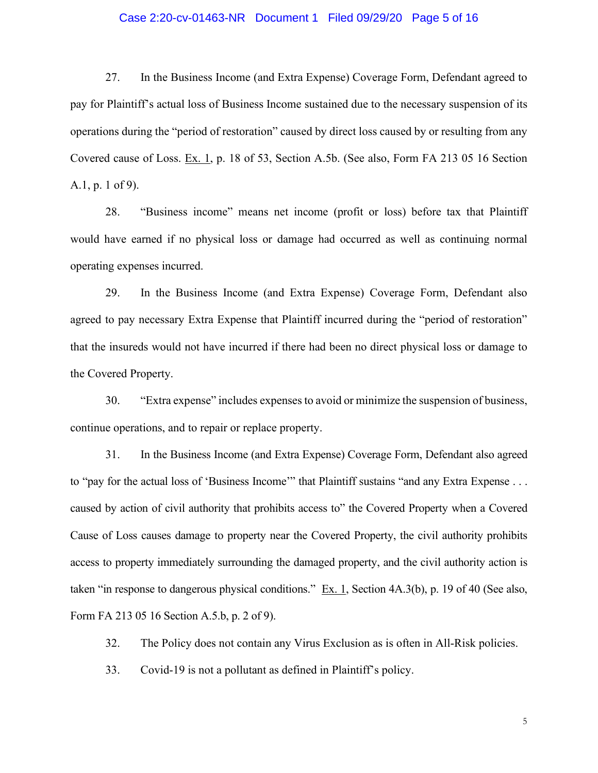## Case 2:20-cv-01463-NR Document 1 Filed 09/29/20 Page 5 of 16

27. In the Business Income (and Extra Expense) Coverage Form, Defendant agreed to pay for Plaintiff's actual loss of Business Income sustained due to the necessary suspension of its operations during the "period of restoration" caused by direct loss caused by or resulting from any Covered cause of Loss. Ex. 1, p. 18 of 53, Section A.5b. (See also, Form FA 213 05 16 Section A.1, p. 1 of 9).

28. "Business income" means net income (profit or loss) before tax that Plaintiff would have earned if no physical loss or damage had occurred as well as continuing normal operating expenses incurred.

29. In the Business Income (and Extra Expense) Coverage Form, Defendant also agreed to pay necessary Extra Expense that Plaintiff incurred during the "period of restoration" that the insureds would not have incurred if there had been no direct physical loss or damage to the Covered Property.

30. "Extra expense" includes expenses to avoid or minimize the suspension of business, continue operations, and to repair or replace property.

31. In the Business Income (and Extra Expense) Coverage Form, Defendant also agreed to "pay for the actual loss of 'Business Income'" that Plaintiff sustains "and any Extra Expense . . . caused by action of civil authority that prohibits access to" the Covered Property when a Covered Cause of Loss causes damage to property near the Covered Property, the civil authority prohibits access to property immediately surrounding the damaged property, and the civil authority action is taken "in response to dangerous physical conditions." Ex. 1, Section 4A.3(b), p. 19 of 40 (See also, Form FA 213 05 16 Section A.5.b, p. 2 of 9).

32. The Policy does not contain any Virus Exclusion as is often in All-Risk policies.

33. Covid-19 is not a pollutant as defined in Plaintiff's policy.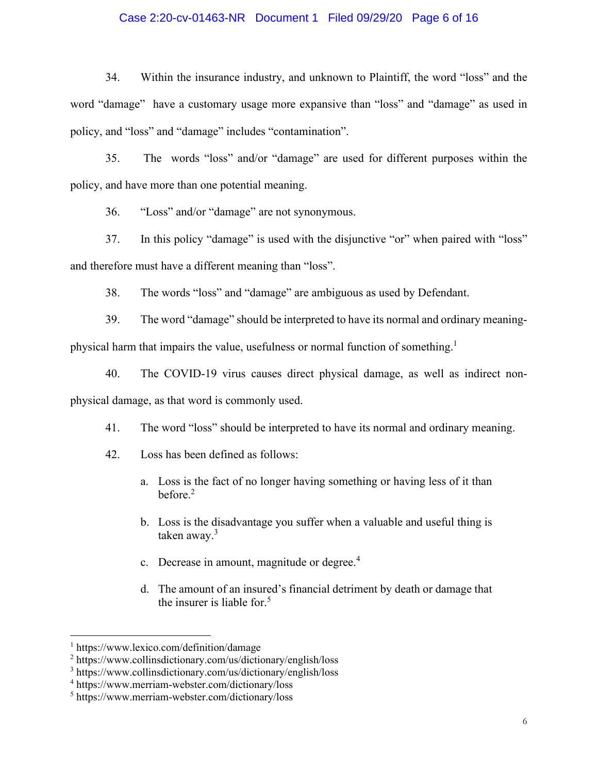## Case 2:20-cv-01463-NR Document 1 Filed 09/29/20 Page 6 of 16

34. Within the insurance industry, and unknown to Plaintiff, the word "loss" and the word "damage" have a customary usage more expansive than "loss" and "damage" as used in policy, and "loss" and "damage" includes "contamination".

35. The words "loss" and/or "damage" are used for different purposes within the policy, and have more than one potential meaning.

36. "Loss" and/or "damage" are not synonymous.

37. In this policy "damage" is used with the disjunctive "or" when paired with "loss" and therefore must have a different meaning than "loss".

38. The words "loss" and "damage" are ambiguous as used by Defendant.

39. The word "damage" should be interpreted to have its normal and ordinary meaning-

physical harm that impairs the value, usefulness or normal function of something.<sup>1</sup>

40. The COVID-19 virus causes direct physical damage, as well as indirect nonphysical damage, as that word is commonly used.

41. The word "loss" should be interpreted to have its normal and ordinary meaning.

- 42. Loss has been defined as follows:
	- a. Loss is the fact of no longer having something or having less of it than before. $2$
	- b. Loss is the disadvantage you suffer when a valuable and useful thing is taken away.<sup>3</sup>
	- c. Decrease in amount, magnitude or degree. $4$
	- d. The amount of an insured's financial detriment by death or damage that the insurer is liable for.<sup>5</sup>

<sup>1</sup> https://www.lexico.com/definition/damage

<sup>2</sup> https://www.collinsdictionary.com/us/dictionary/english/loss

<sup>3</sup> https://www.collinsdictionary.com/us/dictionary/english/loss

<sup>4</sup> https://www.merriam-webster.com/dictionary/loss

<sup>5</sup> https://www.merriam-webster.com/dictionary/loss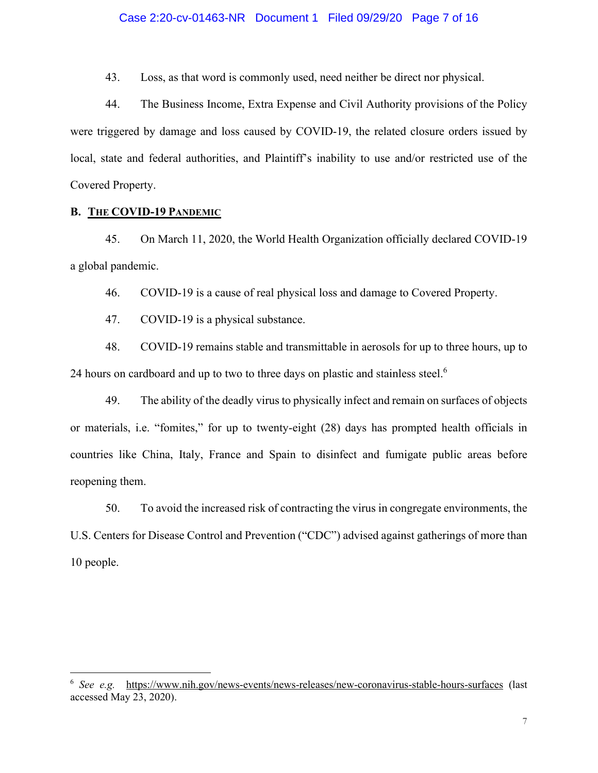43. Loss, as that word is commonly used, need neither be direct nor physical.

44. The Business Income, Extra Expense and Civil Authority provisions of the Policy were triggered by damage and loss caused by COVID-19, the related closure orders issued by local, state and federal authorities, and Plaintiff's inability to use and/or restricted use of the Covered Property.

## **B. THE COVID-19 PANDEMIC**

45. On March 11, 2020, the World Health Organization officially declared COVID-19 a global pandemic.

46. COVID-19 is a cause of real physical loss and damage to Covered Property.

47. COVID-19 is a physical substance.

48. COVID-19 remains stable and transmittable in aerosols for up to three hours, up to 24 hours on cardboard and up to two to three days on plastic and stainless steel.<sup>6</sup>

49. The ability of the deadly virus to physically infect and remain on surfaces of objects or materials, i.e. "fomites," for up to twenty-eight (28) days has prompted health officials in countries like China, Italy, France and Spain to disinfect and fumigate public areas before reopening them.

50. To avoid the increased risk of contracting the virus in congregate environments, the U.S. Centers for Disease Control and Prevention ("CDC") advised against gatherings of more than 10 people.

<sup>6</sup> *See e.g.* <https://www.nih.gov/news-events/news-releases/new-coronavirus-stable-hours-surfaces>(last accessed May 23, 2020).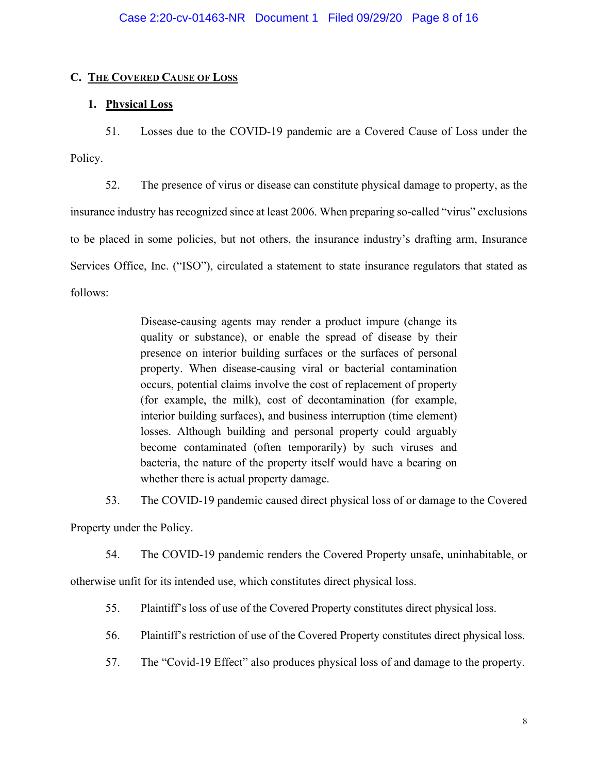## **C. THE COVERED CAUSE OF LOSS**

## **1. Physical Loss**

51. Losses due to the COVID-19 pandemic are a Covered Cause of Loss under the Policy.

52. The presence of virus or disease can constitute physical damage to property, as the insurance industry has recognized since at least 2006. When preparing so-called "virus" exclusions to be placed in some policies, but not others, the insurance industry's drafting arm, Insurance Services Office, Inc. ("ISO"), circulated a statement to state insurance regulators that stated as follows:

> Disease-causing agents may render a product impure (change its quality or substance), or enable the spread of disease by their presence on interior building surfaces or the surfaces of personal property. When disease-causing viral or bacterial contamination occurs, potential claims involve the cost of replacement of property (for example, the milk), cost of decontamination (for example, interior building surfaces), and business interruption (time element) losses. Although building and personal property could arguably become contaminated (often temporarily) by such viruses and bacteria, the nature of the property itself would have a bearing on whether there is actual property damage.

53. The COVID-19 pandemic caused direct physical loss of or damage to the Covered

Property under the Policy.

54. The COVID-19 pandemic renders the Covered Property unsafe, uninhabitable, or

otherwise unfit for its intended use, which constitutes direct physical loss.

55. Plaintiff's loss of use of the Covered Property constitutes direct physical loss.

- 56. Plaintiff's restriction of use of the Covered Property constitutes direct physical loss.
- 57. The "Covid-19 Effect" also produces physical loss of and damage to the property.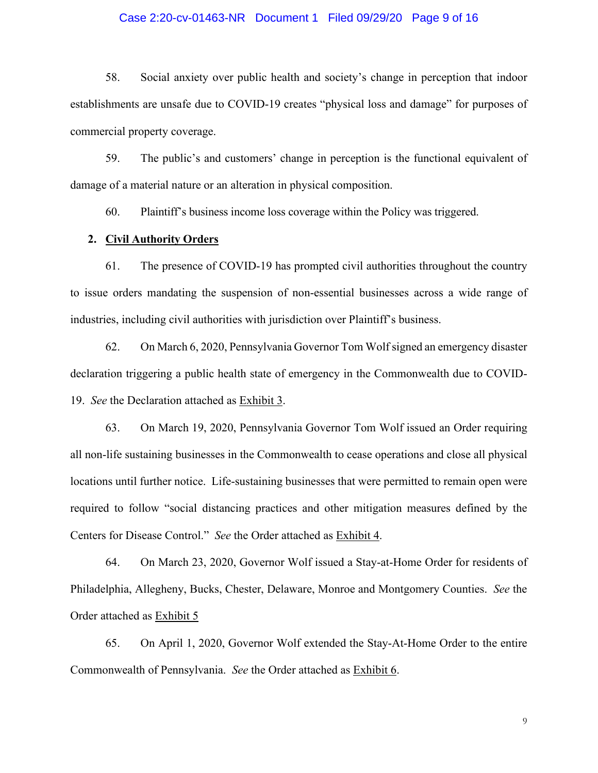## Case 2:20-cv-01463-NR Document 1 Filed 09/29/20 Page 9 of 16

58. Social anxiety over public health and society's change in perception that indoor establishments are unsafe due to COVID-19 creates "physical loss and damage" for purposes of commercial property coverage.

59. The public's and customers' change in perception is the functional equivalent of damage of a material nature or an alteration in physical composition.

60. Plaintiff's business income loss coverage within the Policy was triggered.

## **2. Civil Authority Orders**

61. The presence of COVID-19 has prompted civil authorities throughout the country to issue orders mandating the suspension of non-essential businesses across a wide range of industries, including civil authorities with jurisdiction over Plaintiff's business.

62. On March 6, 2020, Pennsylvania Governor Tom Wolf signed an emergency disaster declaration triggering a public health state of emergency in the Commonwealth due to COVID-19. *See* the Declaration attached as Exhibit 3.

63. On March 19, 2020, Pennsylvania Governor Tom Wolf issued an Order requiring all non-life sustaining businesses in the Commonwealth to cease operations and close all physical locations until further notice. Life-sustaining businesses that were permitted to remain open were required to follow "social distancing practices and other mitigation measures defined by the Centers for Disease Control." *See* the Order attached as Exhibit 4.

64. On March 23, 2020, Governor Wolf issued a Stay-at-Home Order for residents of Philadelphia, Allegheny, Bucks, Chester, Delaware, Monroe and Montgomery Counties. *See* the Order attached as Exhibit 5

65. On April 1, 2020, Governor Wolf extended the Stay-At-Home Order to the entire Commonwealth of Pennsylvania. *See* the Order attached as Exhibit 6.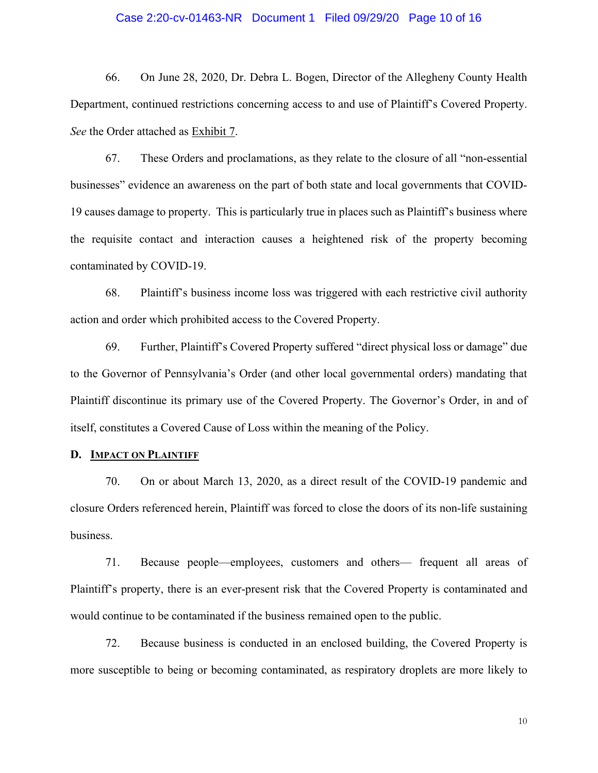#### Case 2:20-cv-01463-NR Document 1 Filed 09/29/20 Page 10 of 16

66. On June 28, 2020, Dr. Debra L. Bogen, Director of the Allegheny County Health Department, continued restrictions concerning access to and use of Plaintiff's Covered Property. *See* the Order attached as Exhibit 7.

67. These Orders and proclamations, as they relate to the closure of all "non-essential businesses" evidence an awareness on the part of both state and local governments that COVID-19 causes damage to property. This is particularly true in places such as Plaintiff's business where the requisite contact and interaction causes a heightened risk of the property becoming contaminated by COVID-19.

68. Plaintiff's business income loss was triggered with each restrictive civil authority action and order which prohibited access to the Covered Property.

69. Further, Plaintiff's Covered Property suffered "direct physical loss or damage" due to the Governor of Pennsylvania's Order (and other local governmental orders) mandating that Plaintiff discontinue its primary use of the Covered Property. The Governor's Order, in and of itself, constitutes a Covered Cause of Loss within the meaning of the Policy.

## **D. IMPACT ON PLAINTIFF**

70. On or about March 13, 2020, as a direct result of the COVID-19 pandemic and closure Orders referenced herein, Plaintiff was forced to close the doors of its non-life sustaining business.

71. Because people—employees, customers and others— frequent all areas of Plaintiff's property, there is an ever-present risk that the Covered Property is contaminated and would continue to be contaminated if the business remained open to the public.

72. Because business is conducted in an enclosed building, the Covered Property is more susceptible to being or becoming contaminated, as respiratory droplets are more likely to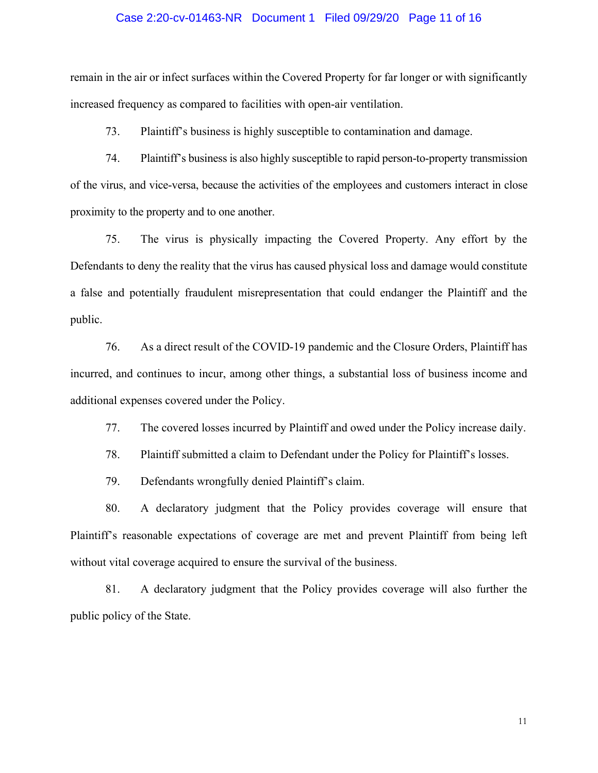#### Case 2:20-cv-01463-NR Document 1 Filed 09/29/20 Page 11 of 16

remain in the air or infect surfaces within the Covered Property for far longer or with significantly increased frequency as compared to facilities with open-air ventilation.

73. Plaintiff's business is highly susceptible to contamination and damage.

74. Plaintiff's business is also highly susceptible to rapid person-to-property transmission of the virus, and vice-versa, because the activities of the employees and customers interact in close proximity to the property and to one another.

75. The virus is physically impacting the Covered Property. Any effort by the Defendants to deny the reality that the virus has caused physical loss and damage would constitute a false and potentially fraudulent misrepresentation that could endanger the Plaintiff and the public.

76. As a direct result of the COVID-19 pandemic and the Closure Orders, Plaintiff has incurred, and continues to incur, among other things, a substantial loss of business income and additional expenses covered under the Policy.

77. The covered losses incurred by Plaintiff and owed under the Policy increase daily.

78. Plaintiff submitted a claim to Defendant under the Policy for Plaintiff's losses.

79. Defendants wrongfully denied Plaintiff's claim.

80. A declaratory judgment that the Policy provides coverage will ensure that Plaintiff's reasonable expectations of coverage are met and prevent Plaintiff from being left without vital coverage acquired to ensure the survival of the business.

81. A declaratory judgment that the Policy provides coverage will also further the public policy of the State.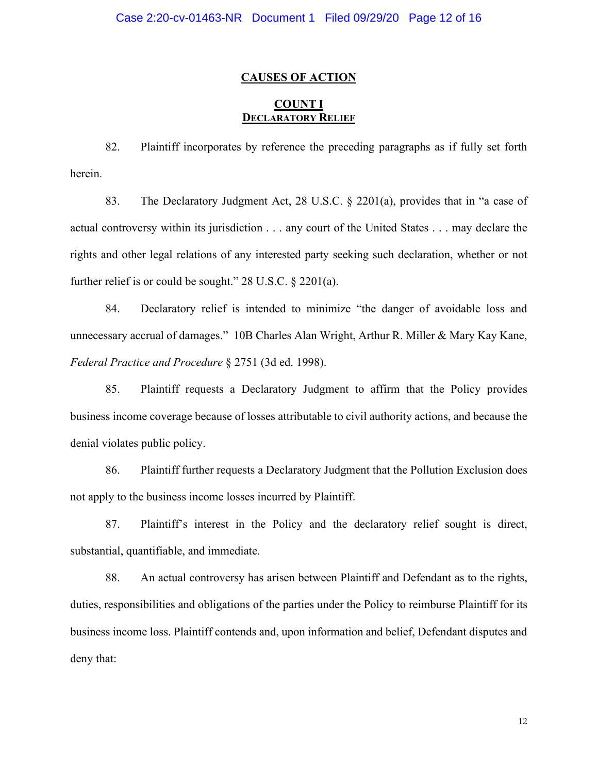## **CAUSES OF ACTION**

## **COUNT I DECLARATORY RELIEF**

82. Plaintiff incorporates by reference the preceding paragraphs as if fully set forth herein.

83. The Declaratory Judgment Act, 28 U.S.C. § 2201(a), provides that in "a case of actual controversy within its jurisdiction . . . any court of the United States . . . may declare the rights and other legal relations of any interested party seeking such declaration, whether or not further relief is or could be sought." 28 U.S.C. § 2201(a).

84. Declaratory relief is intended to minimize "the danger of avoidable loss and unnecessary accrual of damages." 10B Charles Alan Wright, Arthur R. Miller & Mary Kay Kane, *Federal Practice and Procedure* § 2751 (3d ed. 1998).

85. Plaintiff requests a Declaratory Judgment to affirm that the Policy provides business income coverage because of losses attributable to civil authority actions, and because the denial violates public policy.

86. Plaintiff further requests a Declaratory Judgment that the Pollution Exclusion does not apply to the business income losses incurred by Plaintiff.

87. Plaintiff's interest in the Policy and the declaratory relief sought is direct, substantial, quantifiable, and immediate.

88. An actual controversy has arisen between Plaintiff and Defendant as to the rights, duties, responsibilities and obligations of the parties under the Policy to reimburse Plaintiff for its business income loss. Plaintiff contends and, upon information and belief, Defendant disputes and deny that: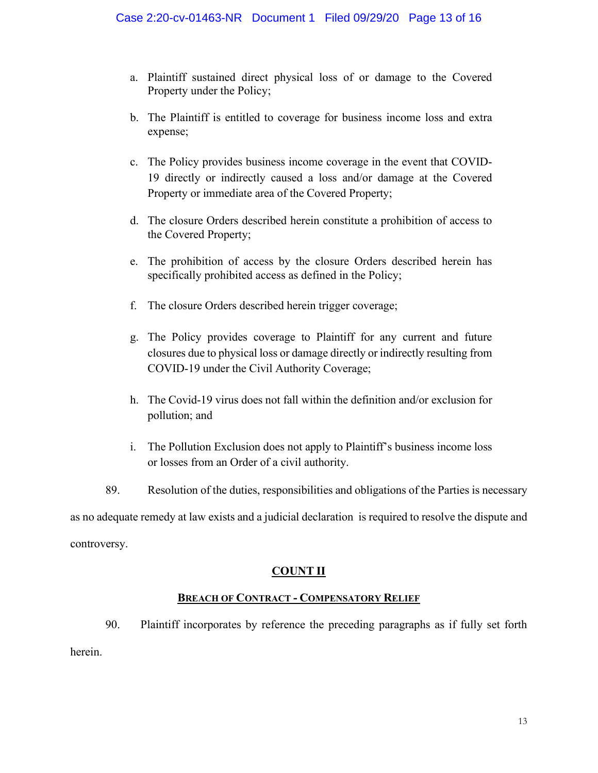- a. Plaintiff sustained direct physical loss of or damage to the Covered Property under the Policy;
- b. The Plaintiff is entitled to coverage for business income loss and extra expense;
- c. The Policy provides business income coverage in the event that COVID-19 directly or indirectly caused a loss and/or damage at the Covered Property or immediate area of the Covered Property;
- d. The closure Orders described herein constitute a prohibition of access to the Covered Property;
- e. The prohibition of access by the closure Orders described herein has specifically prohibited access as defined in the Policy;
- f. The closure Orders described herein trigger coverage;
- g. The Policy provides coverage to Plaintiff for any current and future closures due to physical loss or damage directly or indirectly resulting from COVID-19 under the Civil Authority Coverage;
- h. The Covid-19 virus does not fall within the definition and/or exclusion for pollution; and
- i. The Pollution Exclusion does not apply to Plaintiff's business income loss or losses from an Order of a civil authority.
- 89. Resolution of the duties, responsibilities and obligations of the Parties is necessary

as no adequate remedy at law exists and a judicial declaration is required to resolve the dispute and controversy.

## **COUNT II**

## **BREACH OF CONTRACT - COMPENSATORY RELIEF**

90. Plaintiff incorporates by reference the preceding paragraphs as if fully set forth herein.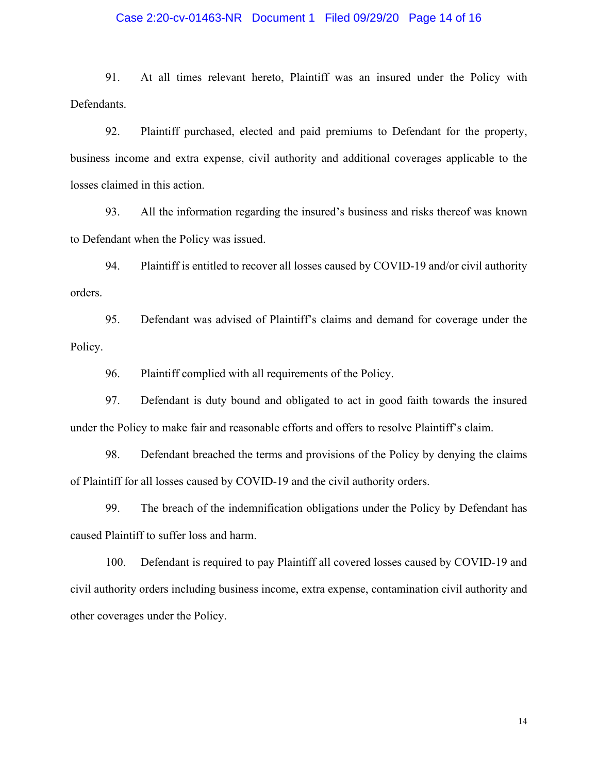## Case 2:20-cv-01463-NR Document 1 Filed 09/29/20 Page 14 of 16

91. At all times relevant hereto, Plaintiff was an insured under the Policy with Defendants.

92. Plaintiff purchased, elected and paid premiums to Defendant for the property, business income and extra expense, civil authority and additional coverages applicable to the losses claimed in this action.

93. All the information regarding the insured's business and risks thereof was known to Defendant when the Policy was issued.

94. Plaintiff is entitled to recover all losses caused by COVID-19 and/or civil authority orders.

95. Defendant was advised of Plaintiff's claims and demand for coverage under the Policy.

96. Plaintiff complied with all requirements of the Policy.

97. Defendant is duty bound and obligated to act in good faith towards the insured under the Policy to make fair and reasonable efforts and offers to resolve Plaintiff's claim.

98. Defendant breached the terms and provisions of the Policy by denying the claims of Plaintiff for all losses caused by COVID-19 and the civil authority orders.

99. The breach of the indemnification obligations under the Policy by Defendant has caused Plaintiff to suffer loss and harm.

100. Defendant is required to pay Plaintiff all covered losses caused by COVID-19 and civil authority orders including business income, extra expense, contamination civil authority and other coverages under the Policy.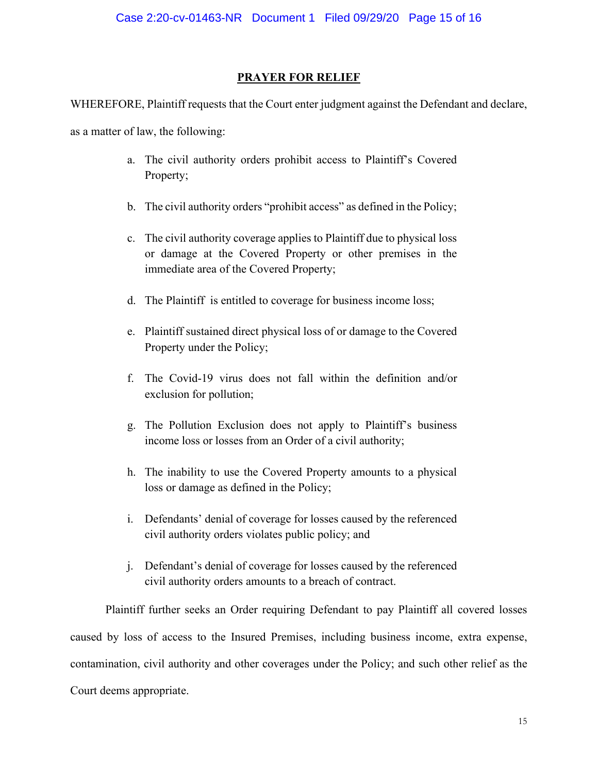## **PRAYER FOR RELIEF**

WHEREFORE, Plaintiff requests that the Court enter judgment against the Defendant and declare,

as a matter of law, the following:

- a. The civil authority orders prohibit access to Plaintiff's Covered Property;
- b. The civil authority orders "prohibit access" as defined in the Policy;
- c. The civil authority coverage applies to Plaintiff due to physical loss or damage at the Covered Property or other premises in the immediate area of the Covered Property;
- d. The Plaintiff is entitled to coverage for business income loss;
- e. Plaintiff sustained direct physical loss of or damage to the Covered Property under the Policy;
- f. The Covid-19 virus does not fall within the definition and/or exclusion for pollution;
- g. The Pollution Exclusion does not apply to Plaintiff's business income loss or losses from an Order of a civil authority;
- h. The inability to use the Covered Property amounts to a physical loss or damage as defined in the Policy;
- i. Defendants' denial of coverage for losses caused by the referenced civil authority orders violates public policy; and
- j. Defendant's denial of coverage for losses caused by the referenced civil authority orders amounts to a breach of contract.

Plaintiff further seeks an Order requiring Defendant to pay Plaintiff all covered losses caused by loss of access to the Insured Premises, including business income, extra expense, contamination, civil authority and other coverages under the Policy; and such other relief as the Court deems appropriate.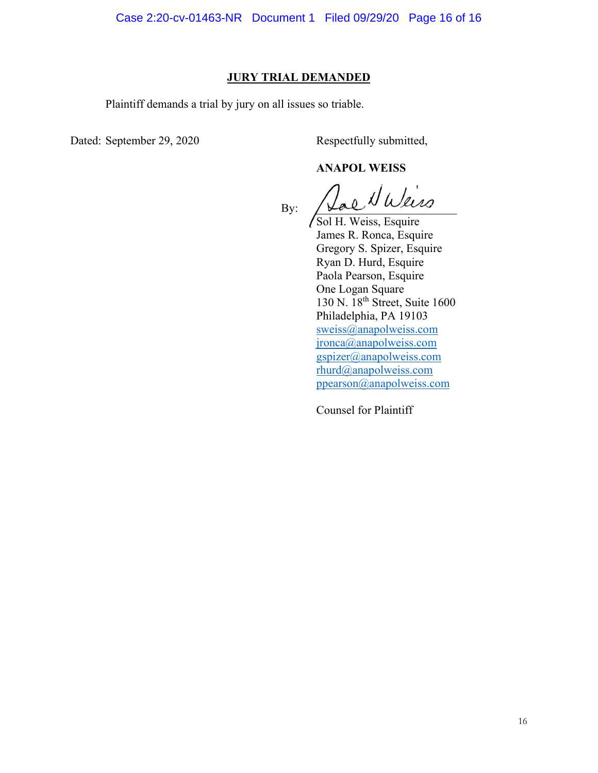## **JURY TRIAL DEMANDED**

Plaintiff demands a trial by jury on all issues so triable.

Dated: September 29, 2020 Respectfully submitted,

# **ANAPOL WEISS**

 $_{\rm{By:}}$   $\sqrt{2a}e$  NWeiss

Sol H. Weiss, Esquire James R. Ronca, Esquire Gregory S. Spizer, Esquire Ryan D. Hurd, Esquire Paola Pearson, Esquire One Logan Square 130 N. 18th Street, Suite 1600 Philadelphia, PA 19103 [sweiss@anapolweiss.com](mailto:sweiss@anapolweiss.com)  [jronca@anapolweiss.com](mailto:jronca@anapolweiss.com)  [gspizer@anapolweiss.com](mailto:gspizer@anapolweiss.com)  [rhurd@anapolweiss.com](mailto:rhurd@anapolweiss.com)  [ppearson@anapolweiss.com](mailto:ppearson@anapolweiss.com) 

Counsel for Plaintiff